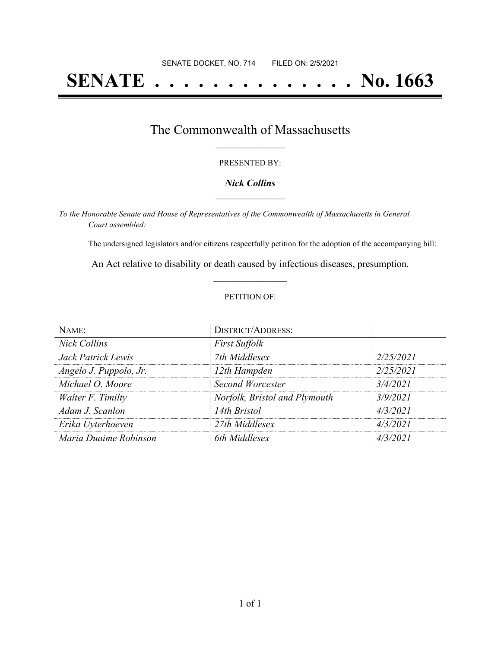# **SENATE . . . . . . . . . . . . . . No. 1663**

## The Commonwealth of Massachusetts **\_\_\_\_\_\_\_\_\_\_\_\_\_\_\_\_\_**

#### PRESENTED BY:

#### *Nick Collins* **\_\_\_\_\_\_\_\_\_\_\_\_\_\_\_\_\_**

*To the Honorable Senate and House of Representatives of the Commonwealth of Massachusetts in General Court assembled:*

The undersigned legislators and/or citizens respectfully petition for the adoption of the accompanying bill:

An Act relative to disability or death caused by infectious diseases, presumption. **\_\_\_\_\_\_\_\_\_\_\_\_\_\_\_**

#### PETITION OF:

| NAME:                  | <b>DISTRICT/ADDRESS:</b>      |           |
|------------------------|-------------------------------|-----------|
| <b>Nick Collins</b>    | <b>First Suffolk</b>          |           |
| Jack Patrick Lewis     | 7th Middlesex                 | 2/25/2021 |
| Angelo J. Puppolo, Jr. | 12th Hampden                  | 2/25/2021 |
| Michael O. Moore       | <b>Second Worcester</b>       | 3/4/2021  |
| Walter F. Timilty      | Norfolk, Bristol and Plymouth | 3/9/2021  |
| Adam J. Scanlon        | 14th Bristol                  | 4/3/2021  |
| Erika Uyterhoeven      | 27th Middlesex                | 4/3/2021  |
| Maria Duaime Robinson  | 6th Middlesex                 | 4/3/2021  |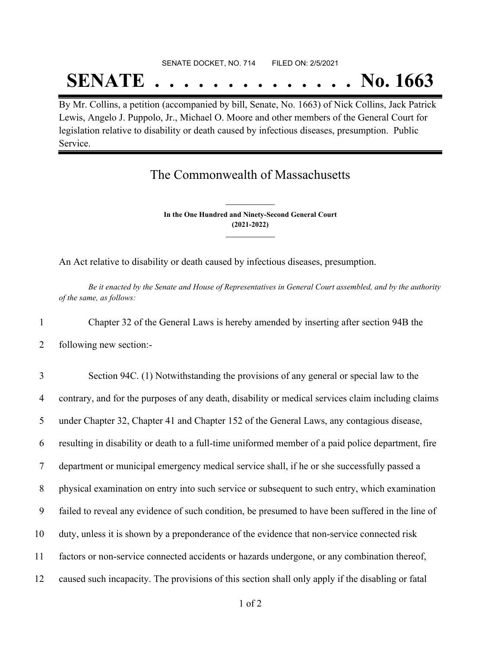### SENATE DOCKET, NO. 714 FILED ON: 2/5/2021

## **SENATE . . . . . . . . . . . . . . No. 1663**

By Mr. Collins, a petition (accompanied by bill, Senate, No. 1663) of Nick Collins, Jack Patrick Lewis, Angelo J. Puppolo, Jr., Michael O. Moore and other members of the General Court for legislation relative to disability or death caused by infectious diseases, presumption. Public Service.

## The Commonwealth of Massachusetts

**In the One Hundred and Ninety-Second General Court (2021-2022) \_\_\_\_\_\_\_\_\_\_\_\_\_\_\_**

**\_\_\_\_\_\_\_\_\_\_\_\_\_\_\_**

An Act relative to disability or death caused by infectious diseases, presumption.

Be it enacted by the Senate and House of Representatives in General Court assembled, and by the authority *of the same, as follows:*

1 Chapter 32 of the General Laws is hereby amended by inserting after section 94B the

2 following new section:-

 Section 94C. (1) Notwithstanding the provisions of any general or special law to the contrary, and for the purposes of any death, disability or medical services claim including claims under Chapter 32, Chapter 41 and Chapter 152 of the General Laws, any contagious disease, resulting in disability or death to a full-time uniformed member of a paid police department, fire department or municipal emergency medical service shall, if he or she successfully passed a physical examination on entry into such service or subsequent to such entry, which examination failed to reveal any evidence of such condition, be presumed to have been suffered in the line of duty, unless it is shown by a preponderance of the evidence that non-service connected risk factors or non-service connected accidents or hazards undergone, or any combination thereof, caused such incapacity. The provisions of this section shall only apply if the disabling or fatal